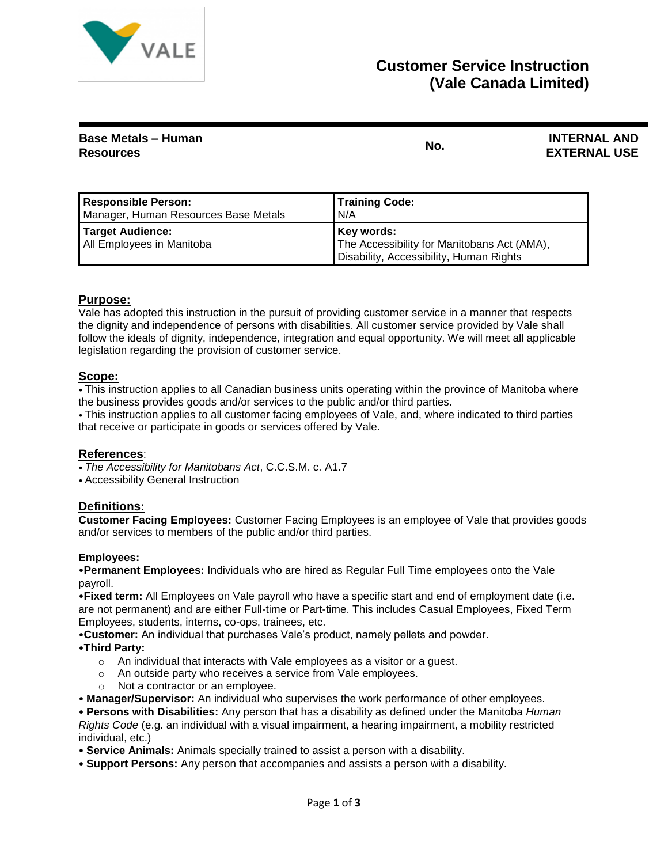

## **Customer Service Instruction (Vale Canada Limited)**

| <b>Base Metals - Human</b> | No. | <b>INTERNAL AND</b> |
|----------------------------|-----|---------------------|
| <b>Resources</b>           |     | <b>EXTERNAL USE</b> |

| <b>Responsible Person:</b>                    | <b>Training Code:</b>                                                                                |
|-----------------------------------------------|------------------------------------------------------------------------------------------------------|
| Manager, Human Resources Base Metals          | N/A                                                                                                  |
| Target Audience:<br>All Employees in Manitoba | Key words:<br>The Accessibility for Manitobans Act (AMA),<br>Disability, Accessibility, Human Rights |

## **Purpose:**

Vale has adopted this instruction in the pursuit of providing customer service in a manner that respects the dignity and independence of persons with disabilities. All customer service provided by Vale shall follow the ideals of dignity, independence, integration and equal opportunity. We will meet all applicable legislation regarding the provision of customer service.

#### **Scope:**

• This instruction applies to all Canadian business units operating within the province of Manitoba where the business provides goods and/or services to the public and/or third parties.

• This instruction applies to all customer facing employees of Vale, and, where indicated to third parties that receive or participate in goods or services offered by Vale.

#### **References**:

- *The Accessibility for Manitobans Act*, C.C.S.M. c. A1.7
- Accessibility General Instruction

#### **Definitions:**

**Customer Facing Employees:** Customer Facing Employees is an employee of Vale that provides goods and/or services to members of the public and/or third parties.

#### **Employees:**

•**Permanent Employees:** Individuals who are hired as Regular Full Time employees onto the Vale payroll.

•**Fixed term:** All Employees on Vale payroll who have a specific start and end of employment date (i.e. are not permanent) and are either Full-time or Part-time. This includes Casual Employees, Fixed Term Employees, students, interns, co-ops, trainees, etc.

•**Customer:** An individual that purchases Vale's product, namely pellets and powder.

- •**Third Party:**
	- o An individual that interacts with Vale employees as a visitor or a guest.
	- o An outside party who receives a service from Vale employees.
	- o Not a contractor or an employee.
- **Manager/Supervisor:** An individual who supervises the work performance of other employees.

• **Persons with Disabilities:** Any person that has a disability as defined under the Manitoba *Human Rights Code* (e.g. an individual with a visual impairment, a hearing impairment, a mobility restricted individual, etc.)

- **Service Animals:** Animals specially trained to assist a person with a disability.
- **Support Persons:** Any person that accompanies and assists a person with a disability.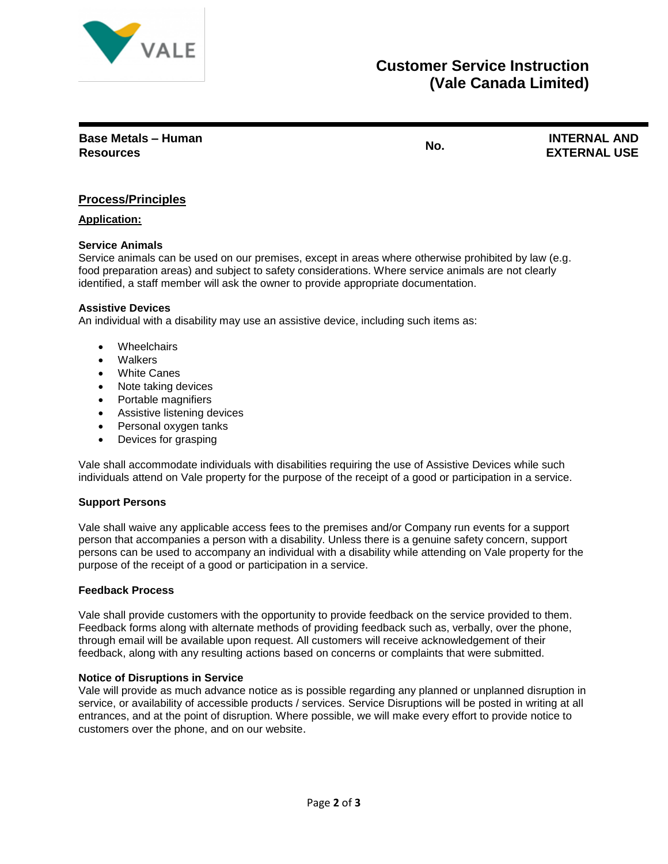

# **Customer Service Instruction (Vale Canada Limited)**

**Base Metals – Human Resources No. INTERNAL AND** 

**EXTERNAL USE**

## **Process/Principles**

### **Application:**

### **Service Animals**

Service animals can be used on our premises, except in areas where otherwise prohibited by law (e.g. food preparation areas) and subject to safety considerations. Where service animals are not clearly identified, a staff member will ask the owner to provide appropriate documentation.

#### **Assistive Devices**

An individual with a disability may use an assistive device, including such items as:

- Wheelchairs
- Walkers
- **White Canes**
- Note taking devices
- Portable magnifiers
- Assistive listening devices
- Personal oxygen tanks
- Devices for grasping

Vale shall accommodate individuals with disabilities requiring the use of Assistive Devices while such individuals attend on Vale property for the purpose of the receipt of a good or participation in a service.

#### **Support Persons**

Vale shall waive any applicable access fees to the premises and/or Company run events for a support person that accompanies a person with a disability. Unless there is a genuine safety concern, support persons can be used to accompany an individual with a disability while attending on Vale property for the purpose of the receipt of a good or participation in a service.

#### **Feedback Process**

Vale shall provide customers with the opportunity to provide feedback on the service provided to them. Feedback forms along with alternate methods of providing feedback such as, verbally, over the phone, through email will be available upon request. All customers will receive acknowledgement of their feedback, along with any resulting actions based on concerns or complaints that were submitted.

#### **Notice of Disruptions in Service**

Vale will provide as much advance notice as is possible regarding any planned or unplanned disruption in service, or availability of accessible products / services. Service Disruptions will be posted in writing at all entrances, and at the point of disruption. Where possible, we will make every effort to provide notice to customers over the phone, and on our website.